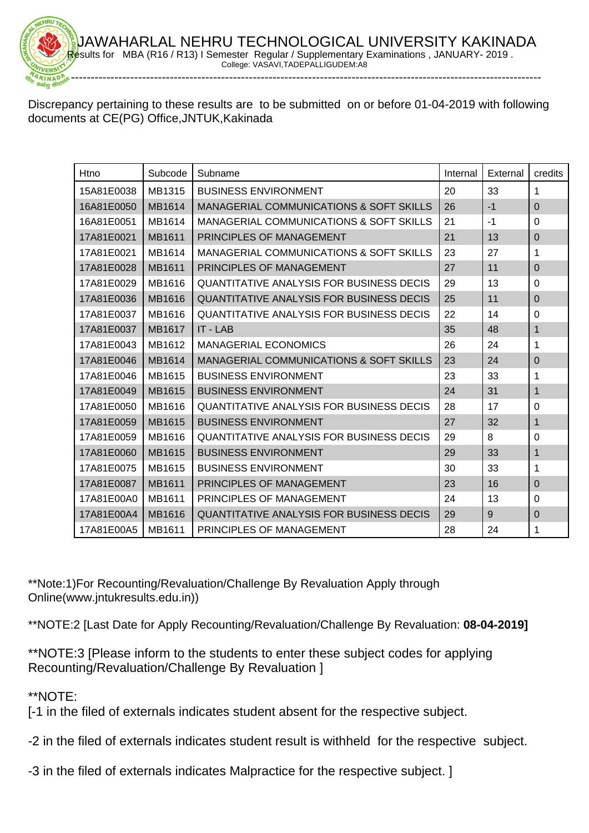Discrepancy pertaining to these results are to be submitted on or before 01-04-2019 with following documents at CE(PG) Office,JNTUK,Kakinada

-----------------------------------------------------------------------------------------------------------------------

| Htno       | Subcode       | Subname                                            | Internal | External | credits        |
|------------|---------------|----------------------------------------------------|----------|----------|----------------|
| 15A81E0038 | MB1315        | <b>BUSINESS ENVIRONMENT</b>                        | 20       | 33       | 1              |
| 16A81E0050 | MB1614        | <b>MANAGERIAL COMMUNICATIONS &amp; SOFT SKILLS</b> | 26       | $-1$     | $\Omega$       |
| 16A81E0051 | MB1614        | MANAGERIAL COMMUNICATIONS & SOFT SKILLS            | 21       | $-1$     | $\Omega$       |
| 17A81E0021 | MB1611        | PRINCIPLES OF MANAGEMENT                           | 21       | 13       | $\Omega$       |
| 17A81E0021 | MB1614        | <b>MANAGERIAL COMMUNICATIONS &amp; SOFT SKILLS</b> | 23       | 27       | 1              |
| 17A81E0028 | MB1611        | PRINCIPLES OF MANAGEMENT                           | 27       | 11       | $\mathbf 0$    |
| 17A81E0029 | MB1616        | QUANTITATIVE ANALYSIS FOR BUSINESS DECIS           | 29       | 13       | $\Omega$       |
| 17A81E0036 | MB1616        | QUANTITATIVE ANALYSIS FOR BUSINESS DECIS           | 25       | 11       | $\Omega$       |
| 17A81E0037 | MB1616        | QUANTITATIVE ANALYSIS FOR BUSINESS DECIS           | 22       | 14       | $\Omega$       |
| 17A81E0037 | MB1617        | IT - LAB                                           | 35       | 48       | 1              |
| 17A81E0043 | MB1612        | <b>MANAGERIAL ECONOMICS</b>                        | 26       | 24       | 1              |
| 17A81E0046 | MB1614        | MANAGERIAL COMMUNICATIONS & SOFT SKILLS            | 23       | 24       | $\mathbf{0}$   |
| 17A81E0046 | MB1615        | <b>BUSINESS ENVIRONMENT</b>                        | 23       | 33       | 1              |
| 17A81E0049 | MB1615        | <b>BUSINESS ENVIRONMENT</b>                        | 24       | 31       | 1              |
| 17A81E0050 | MB1616        | QUANTITATIVE ANALYSIS FOR BUSINESS DECIS           | 28       | 17       | $\Omega$       |
| 17A81E0059 | MB1615        | <b>BUSINESS ENVIRONMENT</b>                        | 27       | 32       | 1              |
| 17A81E0059 | MB1616        | QUANTITATIVE ANALYSIS FOR BUSINESS DECIS           | 29       | 8        | $\Omega$       |
| 17A81E0060 | MB1615        | <b>BUSINESS ENVIRONMENT</b>                        | 29       | 33       | $\mathbf{1}$   |
| 17A81E0075 | MB1615        | <b>BUSINESS ENVIRONMENT</b>                        | 30       | 33       | 1              |
| 17A81E0087 | MB1611        | PRINCIPLES OF MANAGEMENT                           | 23       | 16       | $\Omega$       |
| 17A81E00A0 | MB1611        | PRINCIPLES OF MANAGEMENT                           | 24       | 13       | $\Omega$       |
| 17A81E00A4 | <b>MB1616</b> | <b>QUANTITATIVE ANALYSIS FOR BUSINESS DECIS</b>    | 29       | 9        | $\overline{0}$ |
| 17A81E00A5 | MB1611        | PRINCIPLES OF MANAGEMENT                           | 28       | 24       | 1              |

\*\*Note:1)For Recounting/Revaluation/Challenge By Revaluation Apply through Online(www.jntukresults.edu.in))

\*\*NOTE:2 [Last Date for Apply Recounting/Revaluation/Challenge By Revaluation: **08-04-2019]**

\*\*NOTE:3 [Please inform to the students to enter these subject codes for applying Recounting/Revaluation/Challenge By Revaluation ]

\*\*NOTE:

[-1 in the filed of externals indicates student absent for the respective subject.

-2 in the filed of externals indicates student result is withheld for the respective subject.

-3 in the filed of externals indicates Malpractice for the respective subject. ]